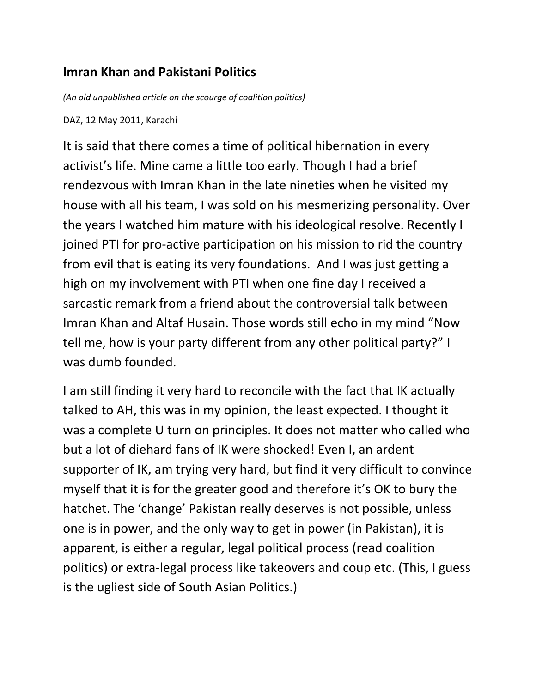## **Imran Khan and Pakistani Politics**

*(An old unpublished article on the scourge of coalition politics)*

DAZ, 12 May 2011, Karachi

It is said that there comes a time of political hibernation in every activist's life. Mine came a little too early. Though I had a brief rendezvous with Imran Khan in the late nineties when he visited my house with all his team, I was sold on his mesmerizing personality. Over the years I watched him mature with his ideological resolve. Recently I joined PTI for pro-active participation on his mission to rid the country from evil that is eating its very foundations. And I was just getting a high on my involvement with PTI when one fine day I received a sarcastic remark from a friend about the controversial talk between Imran Khan and Altaf Husain. Those words still echo in my mind "Now tell me, how is your party different from any other political party?" I was dumb founded.

I am still finding it very hard to reconcile with the fact that IK actually talked to AH, this was in my opinion, the least expected. I thought it was a complete U turn on principles. It does not matter who called who but a lot of diehard fans of IK were shocked! Even I, an ardent supporter of IK, am trying very hard, but find it very difficult to convince myself that it is for the greater good and therefore it's OK to bury the hatchet. The 'change' Pakistan really deserves is not possible, unless one is in power, and the only way to get in power (in Pakistan), it is apparent, is either a regular, legal political process (read coalition politics) or extra-legal process like takeovers and coup etc. (This, I guess is the ugliest side of South Asian Politics.)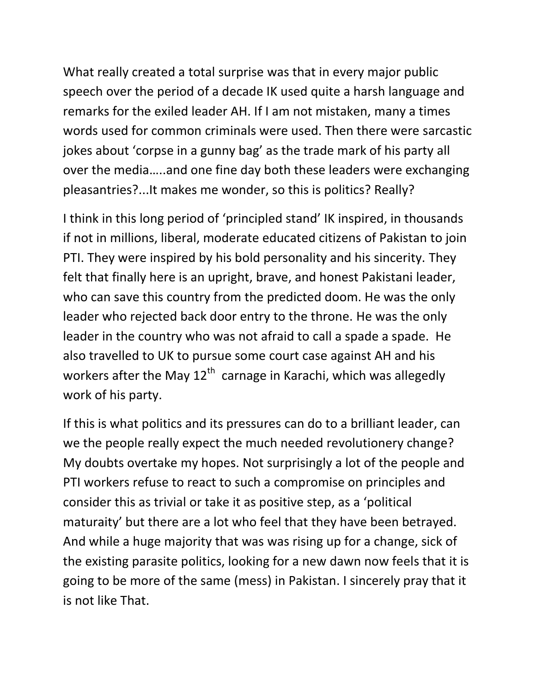What really created a total surprise was that in every major public speech over the period of a decade IK used quite a harsh language and remarks for the exiled leader AH. If I am not mistaken, many a times words used for common criminals were used. Then there were sarcastic jokes about 'corpse in a gunny bag' as the trade mark of his party all over the media…..and one fine day both these leaders were exchanging pleasantries?...It makes me wonder, so this is politics? Really?

I think in this long period of 'principled stand' IK inspired, in thousands if not in millions, liberal, moderate educated citizens of Pakistan to join PTI. They were inspired by his bold personality and his sincerity. They felt that finally here is an upright, brave, and honest Pakistani leader, who can save this country from the predicted doom. He was the only leader who rejected back door entry to the throne. He was the only leader in the country who was not afraid to call a spade a spade. He also travelled to UK to pursue some court case against AH and his workers after the May 12<sup>th</sup> carnage in Karachi, which was allegedly work of his party.

If this is what politics and its pressures can do to a brilliant leader, can we the people really expect the much needed revolutionery change? My doubts overtake my hopes. Not surprisingly a lot of the people and PTI workers refuse to react to such a compromise on principles and consider this as trivial or take it as positive step, as a 'political maturaity' but there are a lot who feel that they have been betrayed. And while a huge majority that was was rising up for a change, sick of the existing parasite politics, looking for a new dawn now feels that it is going to be more of the same (mess) in Pakistan. I sincerely pray that it is not like That.